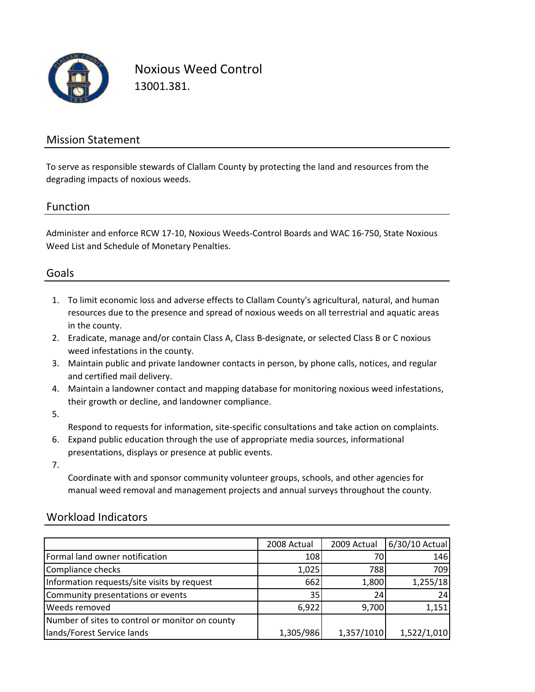

Noxious Weed Control 13001.381.

## Mission Statement

To serve as responsible stewards of Clallam County by protecting the land and resources from the degrading impacts of noxious weeds.

### Function

Administer and enforce RCW 17‐10, Noxious Weeds‐Control Boards and WAC 16‐750, State Noxious Weed List and Schedule of Monetary Penalties.

## Goals

- 1. To limit economic loss and adverse effects to Clallam County's agricultural, natural, and human resources due to the presence and spread of noxious weeds on all terrestrial and aquatic areas in the county.
- 2. Eradicate, manage and/or contain Class A, Class B‐designate, or selected Class B or C noxious weed infestations in the county.
- 3. Maintain public and private landowner contacts in person, by phone calls, notices, and regular and certified mail delivery.
- 4. Maintain a landowner contact and mapping database for monitoring noxious weed infestations, their growth or decline, and landowner compliance.
- 5.

Respond to requests for information, site‐specific consultations and take action on complaints.

- 6. Expand public education through the use of appropriate media sources, informational presentations, displays or presence at public events.
- 7.

Coordinate with and sponsor community volunteer groups, schools, and other agencies for manual weed removal and management projects and annual surveys throughout the county.

### Workload Indicators

|                                                 | 2008 Actual | 2009 Actual | 6/30/10 Actual |
|-------------------------------------------------|-------------|-------------|----------------|
| Formal land owner notification                  | 108         |             | 146            |
| Compliance checks                               | 1,025       | 788         | 709            |
| Information requests/site visits by request     | 662         | 1,800       | 1,255/18       |
| Community presentations or events               | 35          | 24          | 24             |
| <b>Weeds removed</b>                            | 6,922       | 9,700       | 1,151          |
| Number of sites to control or monitor on county |             |             |                |
| lands/Forest Service lands                      | 1,305/986   | 1,357/1010  | 1,522/1,010    |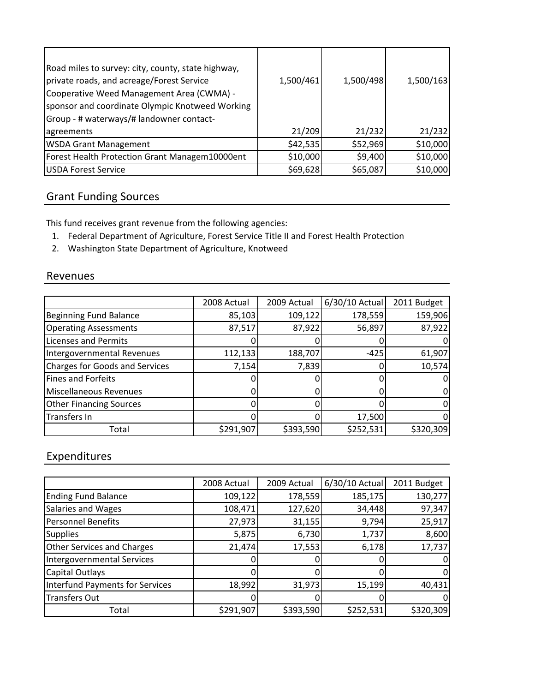| Road miles to survey: city, county, state highway, |           |           |           |
|----------------------------------------------------|-----------|-----------|-----------|
| private roads, and acreage/Forest Service          | 1,500/461 | 1,500/498 | 1,500/163 |
| Cooperative Weed Management Area (CWMA) -          |           |           |           |
| sponsor and coordinate Olympic Knotweed Working    |           |           |           |
| Group - # waterways/# landowner contact-           |           |           |           |
| agreements                                         | 21/209    | 21/232    | 21/232    |
| <b>WSDA Grant Management</b>                       | \$42,535  | \$52,969  | \$10,000  |
| Forest Health Protection Grant Managem10000ent     | \$10,000  | \$9,400   | \$10,000  |
| <b>USDA Forest Service</b>                         | \$69,628  | \$65,087  | \$10,000  |

# Grant Funding Sources

This fund receives grant revenue from the following agencies:

- 1. Federal Department of Agriculture, Forest Service Title II and Forest Health Protection
- 2. Washington State Department of Agriculture, Knotweed

### Revenues

|                                       | 2008 Actual | 2009 Actual | 6/30/10 Actual | 2011 Budget |
|---------------------------------------|-------------|-------------|----------------|-------------|
| <b>Beginning Fund Balance</b>         | 85,103      | 109,122     | 178,559        | 159,906     |
| <b>Operating Assessments</b>          | 87,517      | 87,922      | 56,897         | 87,922      |
| <b>Licenses and Permits</b>           |             |             |                |             |
| Intergovernmental Revenues            | 112,133     | 188,707     | $-425$         | 61,907      |
| <b>Charges for Goods and Services</b> | 7,154       | 7,839       |                | 10,574      |
| <b>Fines and Forfeits</b>             |             |             |                |             |
| <b>Miscellaneous Revenues</b>         |             | O           |                |             |
| <b>Other Financing Sources</b>        |             |             |                |             |
| Transfers In                          |             |             | 17,500         |             |
| Total                                 | \$291,907   | \$393,590   | \$252,531      | \$320,309   |

# Expenditures

|                                   | 2008 Actual | 2009 Actual | 6/30/10 Actual | 2011 Budget |
|-----------------------------------|-------------|-------------|----------------|-------------|
| <b>Ending Fund Balance</b>        | 109,122     | 178,559     | 185,175        | 130,277     |
| Salaries and Wages                | 108,471     | 127,620     | 34,448         | 97,347      |
| <b>Personnel Benefits</b>         | 27,973      | 31,155      | 9,794          | 25,917      |
| <b>Supplies</b>                   | 5,875       | 6,730       | 1,737          | 8,600       |
| <b>Other Services and Charges</b> | 21,474      | 17,553      | 6,178          | 17,737      |
| Intergovernmental Services        |             |             |                | 0           |
| <b>Capital Outlays</b>            |             |             |                | 0           |
| Interfund Payments for Services   | 18,992      | 31,973      | 15,199         | 40,431      |
| <b>Transfers Out</b>              |             |             |                | 0           |
| Total                             | \$291,907   | \$393,590   | \$252,531      | \$320,309   |